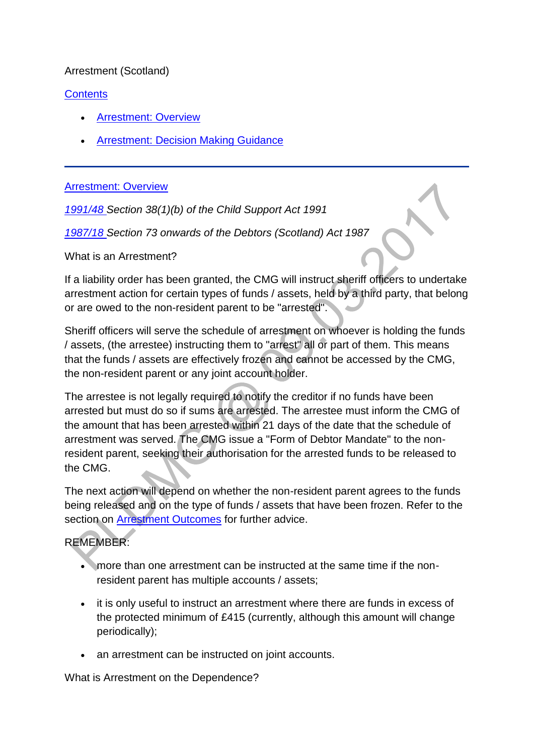# Arrestment (Scotland)

# **[Contents](http://np-cmg-sharepoint.link2.gpn.gov.uk/sites/policy-law-and-decision-making-guidance/Pages/Legal%20Enforcement%20-%20Scotland/Arrestment-(Scotland).aspx#con)**

- [Arrestment: Overview](http://np-cmg-sharepoint.link2.gpn.gov.uk/sites/policy-law-and-decision-making-guidance/Pages/Legal%20Enforcement%20-%20Scotland/Arrestment-(Scotland).aspx#1)
- **[Arrestment: Decision Making Guidance](http://np-cmg-sharepoint.link2.gpn.gov.uk/sites/policy-law-and-decision-making-guidance/Pages/Legal%20Enforcement%20-%20Scotland/Arrestment-(Scotland).aspx#2)**

#### [Arrestment: Overview](http://np-cmg-sharepoint.link2.gpn.gov.uk/sites/policy-law-and-decision-making-guidance/Pages/Legal%20Enforcement%20-%20Scotland/Arrestment-%28Scotland%29.aspx)

*[1991/48 S](http://www.legislation.gov.uk/ukpga/1991/48)ection 38(1)(b) of the Child Support Act 1991*

*[1987/18 S](http://www.legislation.gov.uk/ukpga/1987/18/contents)ection 73 onwards of the Debtors (Scotland) Act 1987*

What is an Arrestment?

If a liability order has been granted, the CMG will instruct sheriff officers to undertake arrestment action for certain types of funds / assets, held by a third party, that belong or are owed to the non-resident parent to be "arrested".

Sheriff officers will serve the schedule of arrestment on whoever is holding the funds / assets, (the arrestee) instructing them to "arrest" all or part of them. This means that the funds / assets are effectively frozen and cannot be accessed by the CMG, the non-resident parent or any joint account holder.

The arrestee is not legally required to notify the creditor if no funds have been arrested but must do so if sums are arrested. The arrestee must inform the CMG of the amount that has been arrested within 21 days of the date that the schedule of arrestment was served. The CMG issue a "Form of Debtor Mandate" to the nonresident parent, seeking their authorisation for the arrested funds to be released to the CMG.

The next action will depend on whether the non-resident parent agrees to the funds being released and on the type of funds / assets that have been frozen. Refer to the section on [Arrestment Outcomes](http://np-cmg-sharepoint.link2.gpn.gov.uk/sites/policy-law-and-decision-making-guidance/Pages/Legal%20Enforcement%20-%20Scotland/Arrestment-(Scotland).aspx#Arrestment%3a%20Outcomes) for further advice.

# REMEMBER:

- more than one arrestment can be instructed at the same time if the nonresident parent has multiple accounts / assets;
- it is only useful to instruct an arrestment where there are funds in excess of the protected minimum of £415 (currently, although this amount will change periodically);
- an arrestment can be instructed on joint accounts.

What is Arrestment on the Dependence?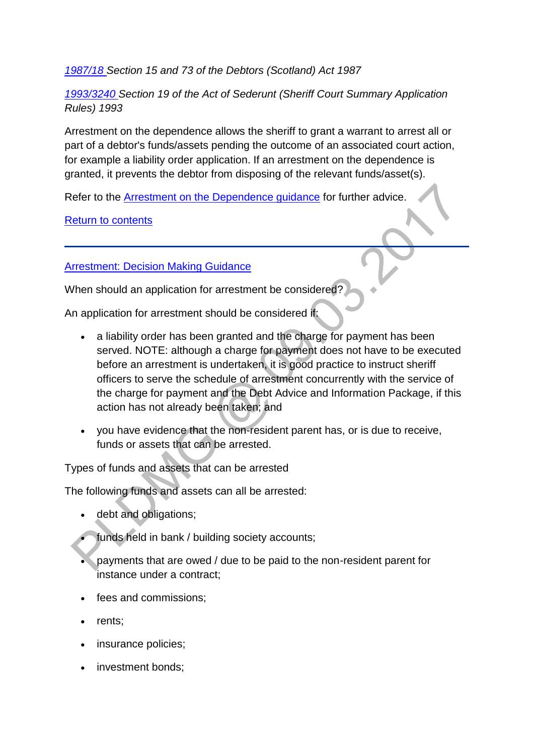# *[1987/18 S](http://www.legislation.gov.uk/ukpga/1987/18/contents)ection 15 and 73 of the Debtors (Scotland) Act 1987*

*[1993/3240 S](http://www.legislation.gov.uk/uksi/1993/3240/contents/made)ection 19 of the Act of Sederunt (Sheriff Court Summary Application Rules) 1993*

Arrestment on the dependence allows the sheriff to grant a warrant to arrest all or part of a debtor's funds/assets pending the outcome of an associated court action, for example a liability order application. If an arrestment on the dependence is granted, it prevents the debtor from disposing of the relevant funds/asset(s).

Refer to the [Arrestment on the Dependence guidance](http://np-cmg-sharepoint.link2.gpn.gov.uk/sites/policy-law-and-decision-making-guidance/Pages/Legal%20Enforcement%20-%20Scotland/Arrestment-on-the-Dependence.aspx) for further advice.

[Return to contents](http://np-cmg-sharepoint.link2.gpn.gov.uk/sites/policy-law-and-decision-making-guidance/Pages/Legal%20Enforcement%20-%20Scotland/Arrestment-%28Scotland%29.aspx)

# **[Arrestment: Decision Making Guidance](http://np-cmg-sharepoint.link2.gpn.gov.uk/sites/policy-law-and-decision-making-guidance/Pages/Legal%20Enforcement%20-%20Scotland/Arrestment-%28Scotland%29.aspx)**

When should an application for arrestment be considered?

An application for arrestment should be considered if:

- a liability order has been granted and the charge for payment has been served. NOTE: although a charge for payment does not have to be executed before an arrestment is undertaken, it is good practice to instruct sheriff officers to serve the schedule of arrestment concurrently with the service of the charge for payment and the Debt Advice and Information Package, if this action has not already been taken; and
- you have evidence that the non-resident parent has, or is due to receive, funds or assets that can be arrested.

Types of funds and assets that can be arrested

The following funds and assets can all be arrested:

- debt and obligations;
- funds held in bank / building society accounts;
- payments that are owed / due to be paid to the non-resident parent for instance under a contract;
- fees and commissions;
- rents:
- insurance policies;
- investment bonds;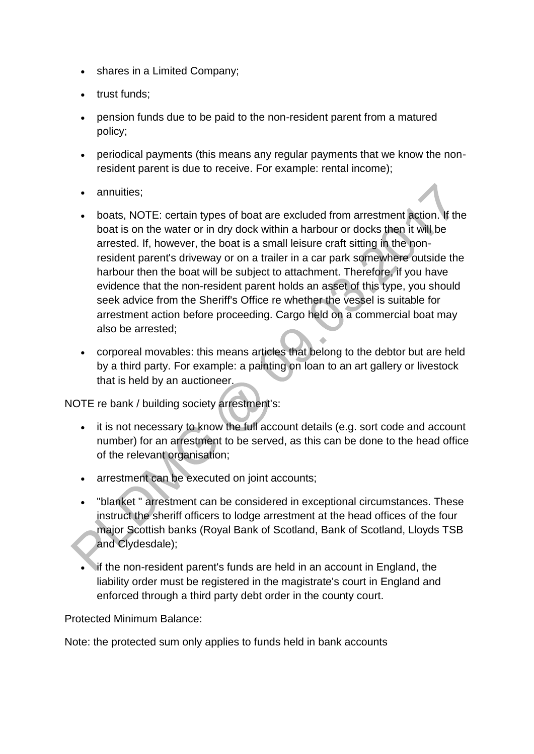- shares in a Limited Company;
- trust funds:
- pension funds due to be paid to the non-resident parent from a matured policy;
- periodical payments (this means any regular payments that we know the nonresident parent is due to receive. For example: rental income);
- annuities:
- boats, NOTE: certain types of boat are excluded from arrestment action. If the boat is on the water or in dry dock within a harbour or docks then it will be arrested. If, however, the boat is a small leisure craft sitting in the nonresident parent's driveway or on a trailer in a car park somewhere outside the harbour then the boat will be subject to attachment. Therefore, if you have evidence that the non-resident parent holds an asset of this type, you should seek advice from the Sheriff's Office re whether the vessel is suitable for arrestment action before proceeding. Cargo held on a commercial boat may also be arrested;
- corporeal movables: this means articles that belong to the debtor but are held by a third party. For example: a painting on loan to an art gallery or livestock that is held by an auctioneer.

NOTE re bank / building society arrestment's:

- it is not necessary to know the full account details (e.g. sort code and account number) for an arrestment to be served, as this can be done to the head office of the relevant organisation;
- arrestment can be executed on joint accounts;
- "blanket " arrestment can be considered in exceptional circumstances. These instruct the sheriff officers to lodge arrestment at the head offices of the four major Scottish banks (Royal Bank of Scotland, Bank of Scotland, Lloyds TSB and Clydesdale);
- if the non-resident parent's funds are held in an account in England, the liability order must be registered in the magistrate's court in England and enforced through a third party debt order in the county court.

Protected Minimum Balance:

Note: the protected sum only applies to funds held in bank accounts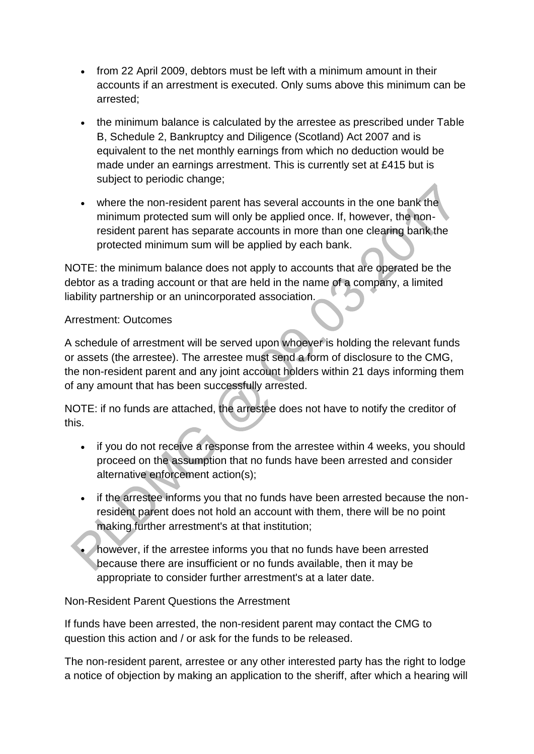- from 22 April 2009, debtors must be left with a minimum amount in their accounts if an arrestment is executed. Only sums above this minimum can be arrested;
- the minimum balance is calculated by the arrestee as prescribed under Table B, Schedule 2, Bankruptcy and Diligence (Scotland) Act 2007 and is equivalent to the net monthly earnings from which no deduction would be made under an earnings arrestment. This is currently set at £415 but is subject to periodic change;
- where the non-resident parent has several accounts in the one bank the minimum protected sum will only be applied once. If, however, the nonresident parent has separate accounts in more than one clearing bank the protected minimum sum will be applied by each bank.

NOTE: the minimum balance does not apply to accounts that are operated be the debtor as a trading account or that are held in the name of a company, a limited liability partnership or an unincorporated association.

# Arrestment: Outcomes

A schedule of arrestment will be served upon whoever is holding the relevant funds or assets (the arrestee). The arrestee must send a form of disclosure to the CMG, the non-resident parent and any joint account holders within 21 days informing them of any amount that has been successfully arrested.

NOTE: if no funds are attached, the arrestee does not have to notify the creditor of this.

- if you do not receive a response from the arrestee within 4 weeks, you should proceed on the assumption that no funds have been arrested and consider alternative enforcement action(s);
- if the arrestee informs you that no funds have been arrested because the nonresident parent does not hold an account with them, there will be no point making further arrestment's at that institution;
- however, if the arrestee informs you that no funds have been arrested because there are insufficient or no funds available, then it may be appropriate to consider further arrestment's at a later date.

Non-Resident Parent Questions the Arrestment

If funds have been arrested, the non-resident parent may contact the CMG to question this action and / or ask for the funds to be released.

The non-resident parent, arrestee or any other interested party has the right to lodge a notice of objection by making an application to the sheriff, after which a hearing will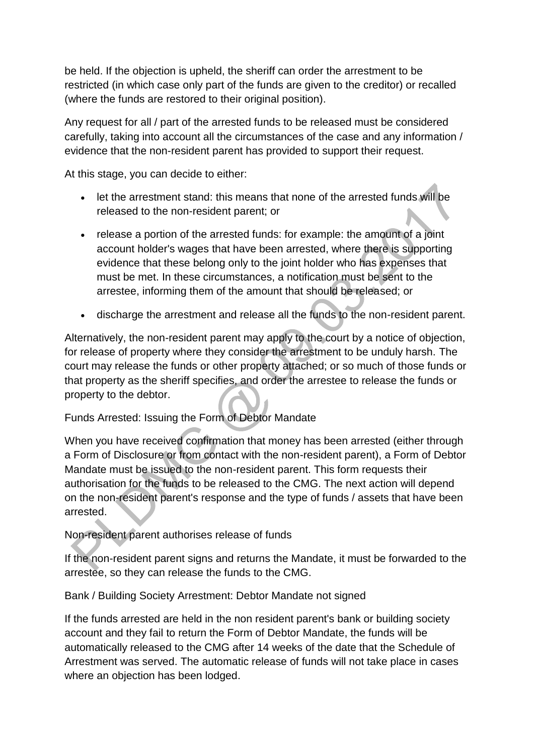be held. If the objection is upheld, the sheriff can order the arrestment to be restricted (in which case only part of the funds are given to the creditor) or recalled (where the funds are restored to their original position).

Any request for all / part of the arrested funds to be released must be considered carefully, taking into account all the circumstances of the case and any information / evidence that the non-resident parent has provided to support their request.

At this stage, you can decide to either:

- let the arrestment stand: this means that none of the arrested funds will be released to the non-resident parent; or
- release a portion of the arrested funds: for example: the amount of a joint account holder's wages that have been arrested, where there is supporting evidence that these belong only to the joint holder who has expenses that must be met. In these circumstances, a notification must be sent to the arrestee, informing them of the amount that should be released; or
- discharge the arrestment and release all the funds to the non-resident parent.

Alternatively, the non-resident parent may apply to the court by a notice of objection, for release of property where they consider the arrestment to be unduly harsh. The court may release the funds or other property attached; or so much of those funds or that property as the sheriff specifies, and order the arrestee to release the funds or property to the debtor.

# Funds Arrested: Issuing the Form of Debtor Mandate

When you have received confirmation that money has been arrested (either through a Form of Disclosure or from contact with the non-resident parent), a Form of Debtor Mandate must be issued to the non-resident parent. This form requests their authorisation for the funds to be released to the CMG. The next action will depend on the non-resident parent's response and the type of funds / assets that have been arrested.

Non-resident parent authorises release of funds

If the non-resident parent signs and returns the Mandate, it must be forwarded to the arrestee, so they can release the funds to the CMG.

Bank / Building Society Arrestment: Debtor Mandate not signed

If the funds arrested are held in the non resident parent's bank or building society account and they fail to return the Form of Debtor Mandate, the funds will be automatically released to the CMG after 14 weeks of the date that the Schedule of Arrestment was served. The automatic release of funds will not take place in cases where an objection has been lodged.